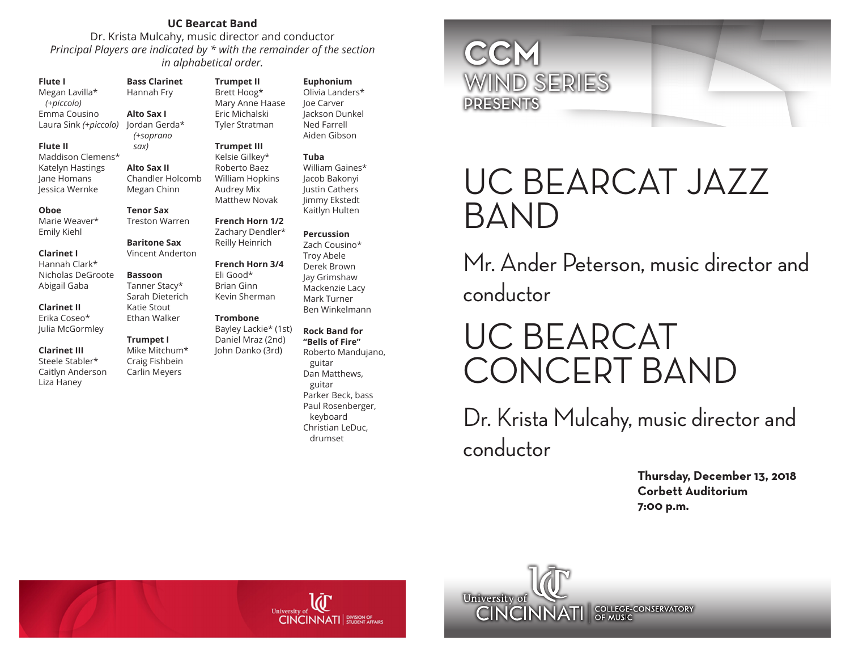# **UC Bearcat Band**

Dr. Krista Mulcahy, music director and conductor *Principal Players are indicated by \* with the remainder of the section in alphabetical order.* 

### **Flute I**

Megan Lavilla\*  *(+piccolo)* Emma Cousino Laura Sink *(+piccolo)*

### **Flute II**

Maddison Clemens\* Katelyn Hastings Jane Homans Jessica Wernke

#### **Oboe**

Marie Weaver\* Emily Kiehl

#### **Clarinet I**

Hannah Clark\* Nicholas DeGroote Abigail Gaba

### **Clarinet II**

Erika Coseo\* Julia McGormley Ethan Walker

### **Clarinet III** Steele Stabler\* Caitlyn Anderson

Liza Haney

Hannah Fry **Alto Sax I** Jordan Gerda\*  *(+soprano*  Tyler Stratman

**Bass Clarinet** 

 *sax)*

**Alto Sax II**

Megan Chinn

**Baritone Sax** Vincent Anderton

**Bassoon** Tanner Stacy\*

Katie Stout

**Trumpet I** Mike Mitchum\* Craig Fishbein Carlin Meyers

# **Trumpet III**

Chandler Holcomb Kelsie Gilkey\* Roberto Baez William Hopkins Audrey Mix Matthew Novak

**Trumpet II** Brett Hoog\* Mary Anne Haase Eric Michalski

# **Tenor Sax** Treston Warren

Zachary Dendler\* Reilly Heinrich

# **French Horn 3/4**

**French Horn 1/2**

Sarah Dieterich Eli Good\* Brian Ginn Kevin Sherman

## **Trombone**

Bayley Lackie\* (1st) Daniel Mraz (2nd) John Danko (3rd)

# **Euphonium** Olivia Landers\* Joe Carver Jackson Dunkel

Ned Farrell Aiden Gibson **Tuba**

## William Gaines\* Jacob Bakonyi Justin Cathers Jimmy Ekstedt Kaitlyn Hulten

# **Percussion**

Zach Cousino\* Troy Abele Derek Brown Jay Grimshaw Mackenzie Lacy Mark Turner Ben Winkelmann

#### **Rock Band for "Bells of Fire"**

Roberto Mandujano, guitar Dan Matthews, guitar Parker Beck, bass Paul Rosenberger, keyboard Christian LeDuc, drumset



# UC BEARCAT JAZZ BAND

Mr. Ander Peterson, music director and conductor

# UC BEARCAT CONCERT BAND

Dr. Krista Mulcahy, music director and conductor

> **Thursday, December 13, 2018 Corbett Auditorium 7:00 p.m.**

 $CINCINNATI$  , division of  $CINCINNATI$